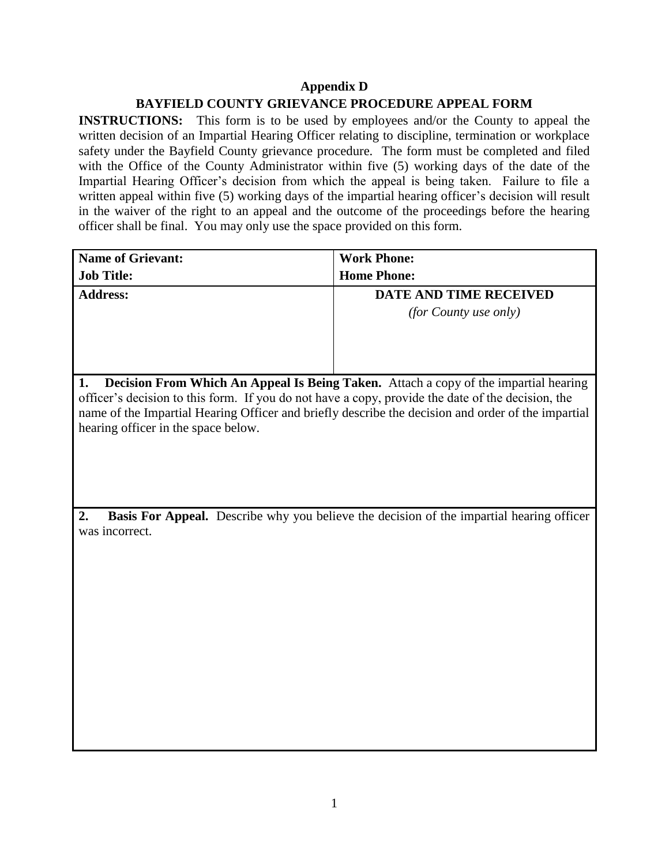## **Appendix D BAYFIELD COUNTY GRIEVANCE PROCEDURE APPEAL FORM**

**INSTRUCTIONS:** This form is to be used by employees and/or the County to appeal the written decision of an Impartial Hearing Officer relating to discipline, termination or workplace safety under the Bayfield County grievance procedure. The form must be completed and filed with the Office of the County Administrator within five (5) working days of the date of the Impartial Hearing Officer's decision from which the appeal is being taken. Failure to file a written appeal within five (5) working days of the impartial hearing officer's decision will result in the waiver of the right to an appeal and the outcome of the proceedings before the hearing officer shall be final. You may only use the space provided on this form.

| <b>Name of Grievant:</b>                                                                           | <b>Work Phone:</b>     |
|----------------------------------------------------------------------------------------------------|------------------------|
|                                                                                                    |                        |
| <b>Job Title:</b>                                                                                  | <b>Home Phone:</b>     |
| <b>Address:</b>                                                                                    | DATE AND TIME RECEIVED |
|                                                                                                    | (for County use only)  |
|                                                                                                    |                        |
|                                                                                                    |                        |
|                                                                                                    |                        |
|                                                                                                    |                        |
| Decision From Which An Appeal Is Being Taken. Attach a copy of the impartial hearing<br>1.         |                        |
| officer's decision to this form. If you do not have a copy, provide the date of the decision, the  |                        |
| name of the Impartial Hearing Officer and briefly describe the decision and order of the impartial |                        |
| hearing officer in the space below.                                                                |                        |
|                                                                                                    |                        |
|                                                                                                    |                        |
|                                                                                                    |                        |
|                                                                                                    |                        |
|                                                                                                    |                        |
| Basis For Appeal. Describe why you believe the decision of the impartial hearing officer<br>2.     |                        |
| was incorrect.                                                                                     |                        |
|                                                                                                    |                        |
|                                                                                                    |                        |
|                                                                                                    |                        |
|                                                                                                    |                        |
|                                                                                                    |                        |
|                                                                                                    |                        |
|                                                                                                    |                        |
|                                                                                                    |                        |
|                                                                                                    |                        |
|                                                                                                    |                        |
|                                                                                                    |                        |